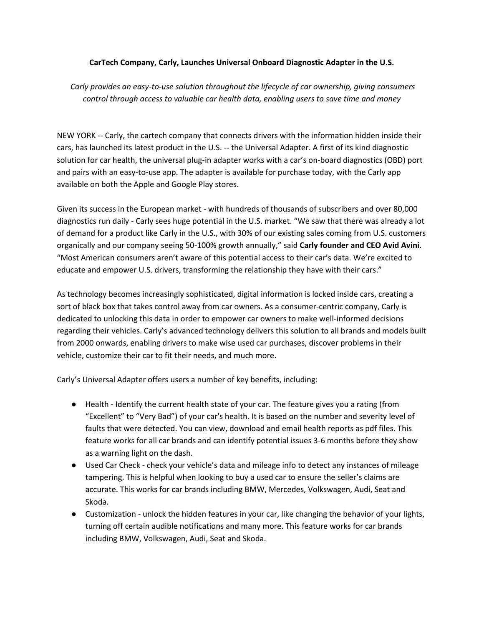## **CarTech Company, Carly, Launches Universal Onboard Diagnostic Adapter in the U.S.**

*Carly provides an easy-to-use solution throughout the lifecycle of car ownership, giving consumers control through access to valuable car health data, enabling users to save time and money*

NEW YORK -- [Carly,](https://www.mycarly.com/en/) the cartech company that connects drivers with the information hidden inside their cars, has launched its latest product in the U.S. -- the Universal Adapter. A first of its kind diagnostic solution for car health, the universal plug-in adapter works with a car's on-board diagnostics (OBD) port and pairs with an easy-to-use app. The adapter is available for purchase today, with the Carly app available on both the Apple and Google Play stores.

Given its success in the European market - with hundreds of thousands of subscribers and over 80,000 diagnostics run daily - Carly sees huge potential in the U.S. market. "We saw that there was already a lot of demand for a product like Carly in the U.S., with 30% of our existing sales coming from U.S. customers organically and our company seeing 50-100% growth annually," said **Carly founder and CEO Avid Avini**. "Most American consumers aren't aware of this potential access to their car's data. We're excited to educate and empower U.S. drivers, transforming the relationship they have with their cars."

As technology becomes increasingly sophisticated, digital information is locked inside cars, creating a sort of black box that takes control away from car owners. As a consumer-centric company, Carly is dedicated to unlocking this data in order to empower car owners to make well-informed decisions regarding their vehicles. Carly's advanced technology delivers this solution to all brands and models built from 2000 onwards, enabling drivers to make wise used car purchases, discover problems in their vehicle, customize their car to fit their needs, and much more.

Carly's Universal Adapter offers users a number of key benefits, including:

- Health Identify the current health state of your car. The feature gives you a rating (from "Excellent" to "Very Bad") of your car's health. It is based on the number and severity level of faults that were detected. You can view, download and email health reports as pdf files. This feature works for all car brands and can identify potential issues 3-6 months before they show as a warning light on the dash.
- Used Car Check check your vehicle's data and mileage info to detect any instances of mileage tampering. This is helpful when looking to buy a used car to ensure the seller's claims are accurate. This works for car brands including BMW, Mercedes, Volkswagen, Audi, Seat and Skoda.
- Customization unlock the hidden features in your car, like changing the behavior of your lights, turning off certain audible notifications and many more. This feature works for car brands including BMW, Volkswagen, Audi, Seat and Skoda.